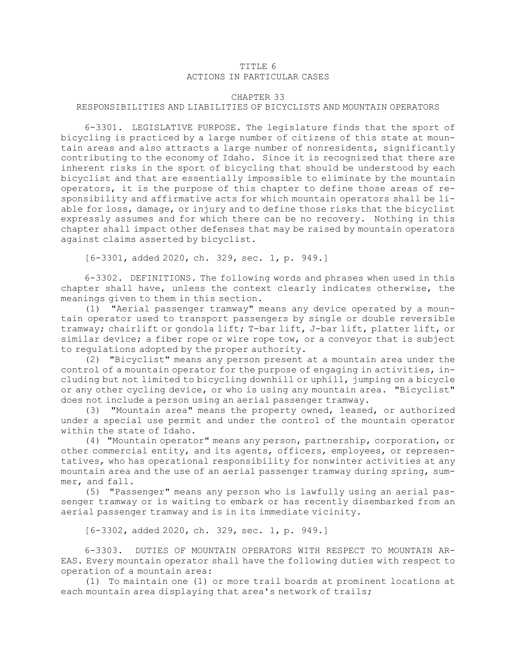## TITLE 6 ACTIONS IN PARTICULAR CASES

## CHAPTER 33

## RESPONSIBILITIES AND LIABILITIES OF BICYCLISTS AND MOUNTAIN OPERATORS

6-3301. LEGISLATIVE PURPOSE. The legislature finds that the sport of bicycling is practiced by <sup>a</sup> large number of citizens of this state at mountain areas and also attracts <sup>a</sup> large number of nonresidents, significantly contributing to the economy of Idaho. Since it is recognized that there are inherent risks in the sport of bicycling that should be understood by each bicyclist and that are essentially impossible to eliminate by the mountain operators, it is the purpose of this chapter to define those areas of responsibility and affirmative acts for which mountain operators shall be liable for loss, damage, or injury and to define those risks that the bicyclist expressly assumes and for which there can be no recovery. Nothing in this chapter shall impact other defenses that may be raised by mountain operators against claims asserted by bicyclist.

[6-3301, added 2020, ch. 329, sec. 1, p. 949.]

6-3302. DEFINITIONS. The following words and phrases when used in this chapter shall have, unless the context clearly indicates otherwise, the meanings given to them in this section.

(1) "Aerial passenger tramway" means any device operated by <sup>a</sup> mountain operator used to transport passengers by single or double reversible tramway; chairlift or gondola lift; T-bar lift, J-bar lift, platter lift, or similar device; <sup>a</sup> fiber rope or wire rope tow, or <sup>a</sup> conveyor that is subject to regulations adopted by the proper authority.

(2) "Bicyclist" means any person present at <sup>a</sup> mountain area under the control of <sup>a</sup> mountain operator for the purpose of engaging in activities, including but not limited to bicycling downhill or uphill, jumping on <sup>a</sup> bicycle or any other cycling device, or who is using any mountain area. "Bicyclist" does not include <sup>a</sup> person using an aerial passenger tramway.

(3) "Mountain area" means the property owned, leased, or authorized under <sup>a</sup> special use permit and under the control of the mountain operator within the state of Idaho.

(4) "Mountain operator" means any person, partnership, corporation, or other commercial entity, and its agents, officers, employees, or representatives, who has operational responsibility for nonwinter activities at any mountain area and the use of an aerial passenger tramway during spring, summer, and fall.

(5) "Passenger" means any person who is lawfully using an aerial passenger tramway or is waiting to embark or has recently disembarked from an aerial passenger tramway and is in its immediate vicinity.

[6-3302, added 2020, ch. 329, sec. 1, p. 949.]

6-3303. DUTIES OF MOUNTAIN OPERATORS WITH RESPECT TO MOUNTAIN AR-EAS. Every mountain operator shall have the following duties with respect to operation of <sup>a</sup> mountain area:

(1) To maintain one (1) or more trail boards at prominent locations at each mountain area displaying that area's network of trails;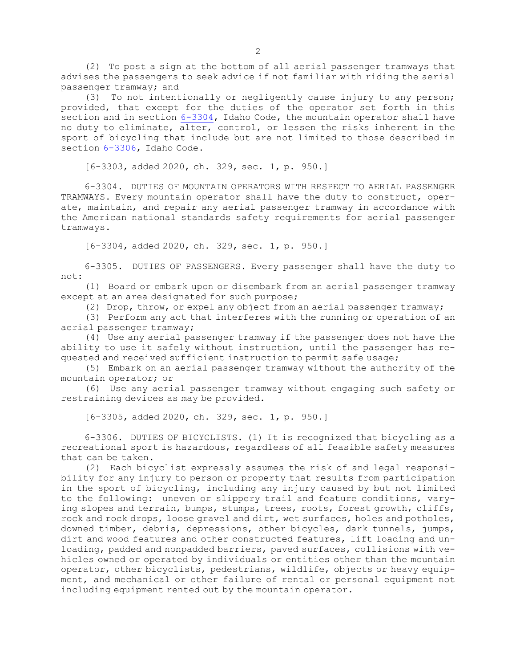(2) To post <sup>a</sup> sign at the bottom of all aerial passenger tramways that advises the passengers to seek advice if not familiar with riding the aerial passenger tramway; and

(3) To not intentionally or negligently cause injury to any person; provided, that except for the duties of the operator set forth in this section and in section [6-3304](https://legislature.idaho.gov/statutesrules/idstat/Title6/T6CH33/SECT6-3304), Idaho Code, the mountain operator shall have no duty to eliminate, alter, control, or lessen the risks inherent in the sport of bicycling that include but are not limited to those described in section [6-3306](https://legislature.idaho.gov/statutesrules/idstat/Title6/T6CH33/SECT6-3306), Idaho Code.

[6-3303, added 2020, ch. 329, sec. 1, p. 950.]

6-3304. DUTIES OF MOUNTAIN OPERATORS WITH RESPECT TO AERIAL PASSENGER TRAMWAYS. Every mountain operator shall have the duty to construct, operate, maintain, and repair any aerial passenger tramway in accordance with the American national standards safety requirements for aerial passenger tramways.

[6-3304, added 2020, ch. 329, sec. 1, p. 950.]

6-3305. DUTIES OF PASSENGERS. Every passenger shall have the duty to not:

(1) Board or embark upon or disembark from an aerial passenger tramway except at an area designated for such purpose;

(2) Drop, throw, or expel any object from an aerial passenger tramway;

(3) Perform any act that interferes with the running or operation of an aerial passenger tramway;

(4) Use any aerial passenger tramway if the passenger does not have the ability to use it safely without instruction, until the passenger has requested and received sufficient instruction to permit safe usage;

(5) Embark on an aerial passenger tramway without the authority of the mountain operator; or

(6) Use any aerial passenger tramway without engaging such safety or restraining devices as may be provided.

[6-3305, added 2020, ch. 329, sec. 1, p. 950.]

6-3306. DUTIES OF BICYCLISTS. (1) It is recognized that bicycling as <sup>a</sup> recreational sport is hazardous, regardless of all feasible safety measures that can be taken.

(2) Each bicyclist expressly assumes the risk of and legal responsibility for any injury to person or property that results from participation in the sport of bicycling, including any injury caused by but not limited to the following: uneven or slippery trail and feature conditions, varying slopes and terrain, bumps, stumps, trees, roots, forest growth, cliffs, rock and rock drops, loose gravel and dirt, wet surfaces, holes and potholes, downed timber, debris, depressions, other bicycles, dark tunnels, jumps, dirt and wood features and other constructed features, lift loading and unloading, padded and nonpadded barriers, paved surfaces, collisions with vehicles owned or operated by individuals or entities other than the mountain operator, other bicyclists, pedestrians, wildlife, objects or heavy equipment, and mechanical or other failure of rental or personal equipment not including equipment rented out by the mountain operator.